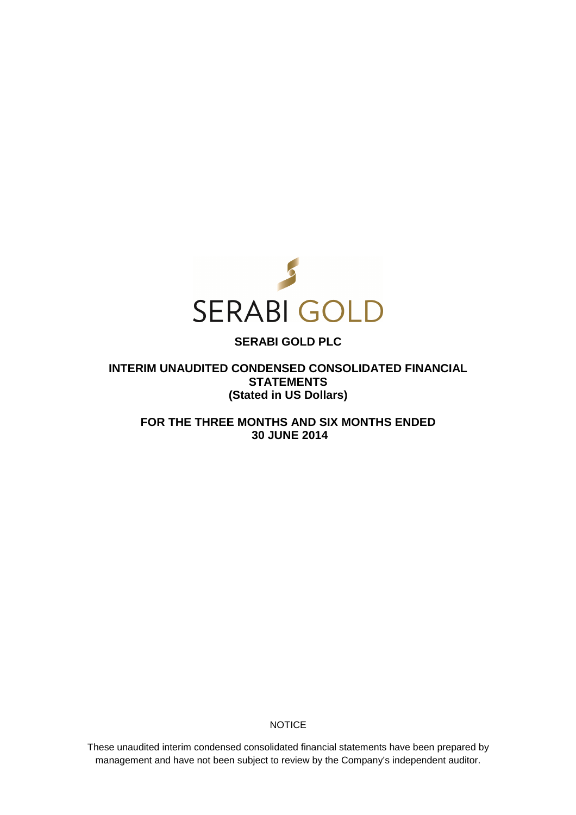

# **SERABI GOLD PLC**

**INTERIM UNAUDITED CONDENSED CONSOLIDATED FINANCIAL STATEMENTS (Stated in US Dollars)** 

**FOR THE THREE MONTHS AND SIX MONTHS ENDED 30 JUNE 2014** 

**NOTICE** 

These unaudited interim condensed consolidated financial statements have been prepared by management and have not been subject to review by the Company's independent auditor.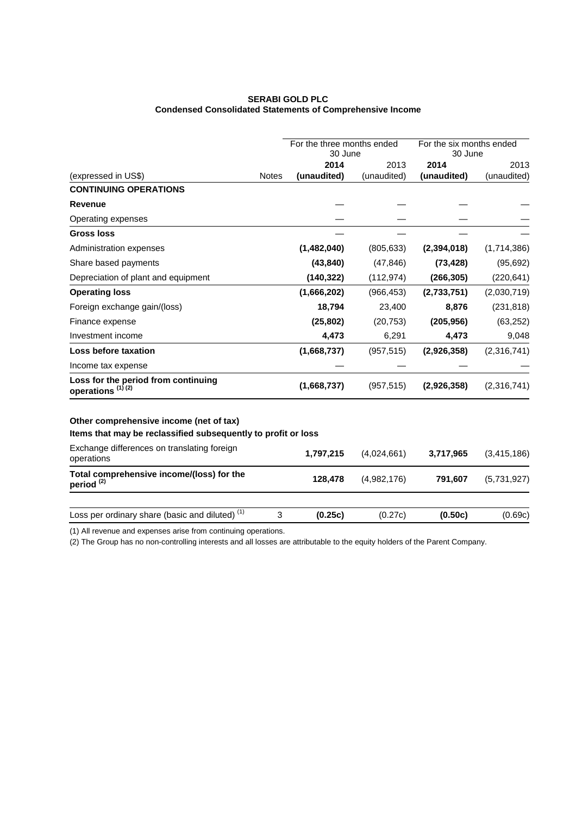# **SERABI GOLD PLC Condensed Consolidated Statements of Comprehensive Income**

|                                                                     |              | For the three months ended |             | For the six months ended |             |
|---------------------------------------------------------------------|--------------|----------------------------|-------------|--------------------------|-------------|
|                                                                     |              | 30 June                    |             | 30 June                  |             |
|                                                                     |              | 2014                       | 2013        | 2014                     | 2013        |
| (expressed in US\$)                                                 | <b>Notes</b> | (unaudited)                | (unaudited) | (unaudited)              | (unaudited) |
| <b>CONTINUING OPERATIONS</b>                                        |              |                            |             |                          |             |
| <b>Revenue</b>                                                      |              |                            |             |                          |             |
| Operating expenses                                                  |              |                            |             |                          |             |
| <b>Gross loss</b>                                                   |              |                            |             |                          |             |
| Administration expenses                                             |              | (1,482,040)                | (805, 633)  | (2, 394, 018)            | (1,714,386) |
| Share based payments                                                |              | (43, 840)                  | (47, 846)   | (73, 428)                | (95, 692)   |
| Depreciation of plant and equipment                                 |              | (140, 322)                 | (112, 974)  | (266, 305)               | (220, 641)  |
| <b>Operating loss</b>                                               |              | (1,666,202)                | (966, 453)  | (2,733,751)              | (2,030,719) |
| Foreign exchange gain/(loss)                                        |              | 18,794                     | 23,400      | 8,876                    | (231, 818)  |
| Finance expense                                                     |              | (25, 802)                  | (20, 753)   | (205, 956)               | (63, 252)   |
| Investment income                                                   |              | 4,473                      | 6,291       | 4,473                    | 9,048       |
| Loss before taxation                                                |              | (1,668,737)                | (957, 515)  | (2,926,358)              | (2,316,741) |
| Income tax expense                                                  |              |                            |             |                          |             |
| Loss for the period from continuing<br>operations <sup>(1)(2)</sup> |              | (1,668,737)                | (957, 515)  | (2,926,358)              | (2,316,741) |
| Other comprehensive income (net of tax)                             |              |                            |             |                          |             |
| Items that may be reclassified subsequently to profit or loss       |              |                            |             |                          |             |
| Exchange differences on translating foreign<br>operations           |              | 1,797,215                  | (4,024,661) | 3,717,965                | (3,415,186) |
| Total comprehensive income/(loss) for the<br>period <sup>(2)</sup>  |              | 128,478                    | (4,982,176) | 791,607                  | (5,731,927) |
|                                                                     |              |                            |             |                          |             |
| Loss per ordinary share (basic and diluted) <sup>(1)</sup>          | 3            | (0.25c)                    | (0.27c)     | (0.50c)                  | (0.69c)     |

(1) All revenue and expenses arise from continuing operations.

(2) The Group has no non-controlling interests and all losses are attributable to the equity holders of the Parent Company.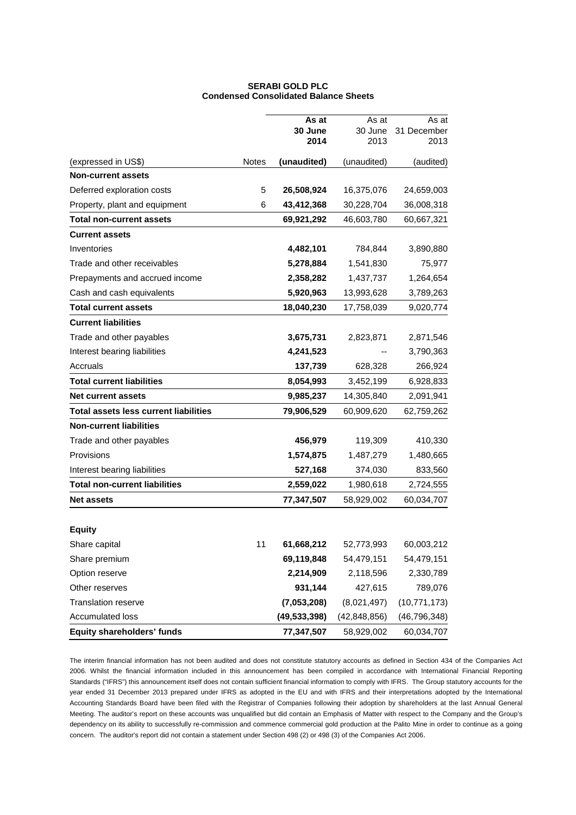# **SERABI GOLD PLC Condensed Consolidated Balance Sheets**

|                                              |              | As at<br>30 June | As at<br>30 June | As at<br>31 December |
|----------------------------------------------|--------------|------------------|------------------|----------------------|
|                                              |              | 2014             | 2013             | 2013                 |
| (expressed in US\$)                          | <b>Notes</b> | (unaudited)      | (unaudited)      | (audited)            |
| <b>Non-current assets</b>                    |              |                  |                  |                      |
| Deferred exploration costs                   | 5            | 26,508,924       | 16,375,076       | 24,659,003           |
| Property, plant and equipment                | 6            | 43,412,368       | 30,228,704       | 36,008,318           |
| <b>Total non-current assets</b>              |              | 69,921,292       | 46,603,780       | 60,667,321           |
| <b>Current assets</b>                        |              |                  |                  |                      |
| Inventories                                  |              | 4,482,101        | 784,844          | 3,890,880            |
| Trade and other receivables                  |              | 5,278,884        | 1,541,830        | 75,977               |
| Prepayments and accrued income               |              | 2,358,282        | 1,437,737        | 1,264,654            |
| Cash and cash equivalents                    |              | 5,920,963        | 13,993,628       | 3,789,263            |
| <b>Total current assets</b>                  |              | 18,040,230       | 17,758,039       | 9,020,774            |
| <b>Current liabilities</b>                   |              |                  |                  |                      |
| Trade and other payables                     |              | 3,675,731        | 2,823,871        | 2,871,546            |
| Interest bearing liabilities                 |              | 4,241,523        |                  | 3,790,363            |
| Accruals                                     |              | 137,739          | 628,328          | 266,924              |
| <b>Total current liabilities</b>             |              | 8,054,993        | 3,452,199        | 6,928,833            |
| <b>Net current assets</b>                    |              | 9,985,237        | 14,305,840       | 2,091,941            |
| <b>Total assets less current liabilities</b> |              | 79,906,529       | 60,909,620       | 62,759,262           |
| <b>Non-current liabilities</b>               |              |                  |                  |                      |
| Trade and other payables                     |              | 456,979          | 119,309          | 410,330              |
| Provisions                                   |              | 1,574,875        | 1,487,279        | 1,480,665            |
| Interest bearing liabilities                 |              | 527,168          | 374,030          | 833,560              |
| <b>Total non-current liabilities</b>         |              | 2,559,022        | 1,980,618        | 2,724,555            |
| <b>Net assets</b>                            |              | 77,347,507       | 58,929,002       | 60,034,707           |
|                                              |              |                  |                  |                      |
| <b>Equity</b>                                |              |                  |                  |                      |
| Share capital                                | 11           | 61,668,212       | 52,773,993       | 60,003,212           |
| Share premium                                |              | 69,119,848       | 54,479,151       | 54,479,151           |
| Option reserve                               |              | 2,214,909        | 2,118,596        | 2,330,789            |
| Other reserves                               |              | 931,144          | 427,615          | 789,076              |
| <b>Translation reserve</b>                   |              | (7,053,208)      | (8,021,497)      | (10, 771, 173)       |
| <b>Accumulated loss</b>                      |              | (49, 533, 398)   | (42, 848, 856)   | (46, 796, 348)       |
| <b>Equity shareholders' funds</b>            |              | 77,347,507       | 58,929,002       | 60,034,707           |

The interim financial information has not been audited and does not constitute statutory accounts as defined in Section 434 of the Companies Act 2006. Whilst the financial information included in this announcement has been compiled in accordance with International Financial Reporting Standards ("IFRS") this announcement itself does not contain sufficient financial information to comply with IFRS. The Group statutory accounts for the year ended 31 December 2013 prepared under IFRS as adopted in the EU and with IFRS and their interpretations adopted by the International Accounting Standards Board have been filed with the Registrar of Companies following their adoption by shareholders at the last Annual General Meeting. The auditor's report on these accounts was unqualified but did contain an Emphasis of Matter with respect to the Company and the Group's dependency on its ability to successfully re-commission and commence commercial gold production at the Palito Mine in order to continue as a going concern. The auditor's report did not contain a statement under Section 498 (2) or 498 (3) of the Companies Act 2006.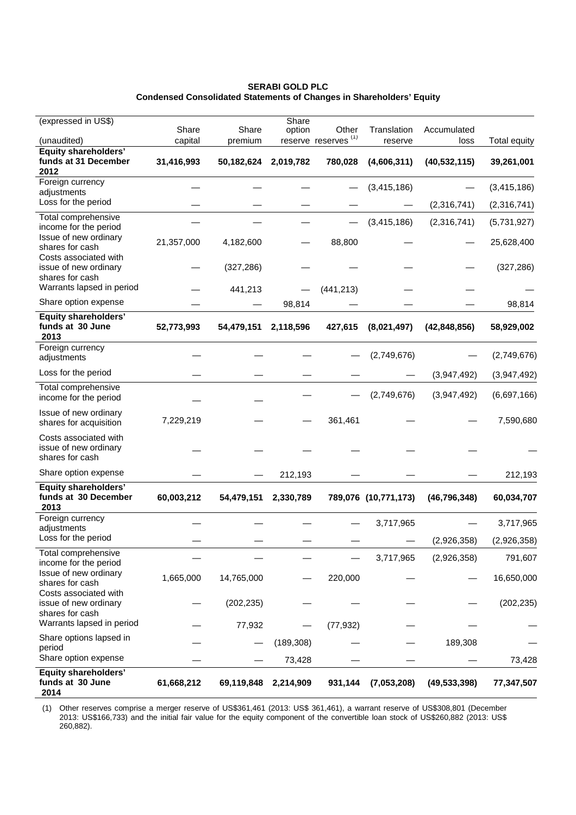**SERABI GOLD PLC Condensed Consolidated Statements of Changes in Shareholders' Equity** 

| (expressed in US\$)                                               | Share      | Share      | Share      | Other                           | Translation          | Accumulated    |                     |
|-------------------------------------------------------------------|------------|------------|------------|---------------------------------|----------------------|----------------|---------------------|
| (unaudited)                                                       | capital    | premium    | option     | reserve reserves <sup>(1)</sup> | reserve              | loss           | <b>Total equity</b> |
| Equity shareholders'<br>funds at 31 December<br>2012              | 31,416,993 | 50,182,624 | 2,019,782  | 780,028                         | (4,606,311)          | (40, 532, 115) | 39,261,001          |
| Foreign currency<br>adjustments                                   |            |            |            |                                 | (3,415,186)          |                | (3,415,186)         |
| Loss for the period                                               |            |            |            |                                 |                      | (2,316,741)    | (2,316,741)         |
| Total comprehensive<br>income for the period                      |            |            |            |                                 | (3,415,186)          | (2,316,741)    | (5,731,927)         |
| Issue of new ordinary<br>shares for cash                          | 21,357,000 | 4,182,600  |            | 88,800                          |                      |                | 25,628,400          |
| Costs associated with<br>issue of new ordinary<br>shares for cash |            | (327, 286) |            |                                 |                      |                | (327, 286)          |
| Warrants lapsed in period                                         |            | 441,213    |            | (441, 213)                      |                      |                |                     |
| Share option expense                                              |            |            | 98,814     |                                 |                      |                | 98,814              |
| <b>Equity shareholders'</b><br>funds at 30 June<br>2013           | 52,773,993 | 54,479,151 | 2,118,596  | 427,615                         | (8,021,497)          | (42, 848, 856) | 58,929,002          |
| Foreign currency<br>adjustments                                   |            |            |            |                                 | (2,749,676)          |                | (2,749,676)         |
| Loss for the period                                               |            |            |            |                                 |                      | (3,947,492)    | (3,947,492)         |
| Total comprehensive<br>income for the period                      |            |            |            |                                 | (2,749,676)          | (3,947,492)    | (6,697,166)         |
| Issue of new ordinary<br>shares for acquisition                   | 7,229,219  |            |            | 361,461                         |                      |                | 7,590,680           |
| Costs associated with<br>issue of new ordinary<br>shares for cash |            |            |            |                                 |                      |                |                     |
| Share option expense                                              |            |            | 212,193    |                                 |                      |                | 212,193             |
| <b>Equity shareholders'</b><br>funds at 30 December<br>2013       | 60,003,212 | 54,479,151 | 2,330,789  |                                 | 789,076 (10,771,173) | (46, 796, 348) | 60,034,707          |
| Foreign currency<br>adjustments                                   |            |            |            |                                 | 3,717,965            |                | 3,717,965           |
| Loss for the period                                               |            |            |            |                                 |                      | (2,926,358)    | (2,926,358)         |
| Total comprehensive<br>income for the period                      |            |            |            |                                 | 3,717,965            | (2,926,358)    | 791,607             |
| Issue of new ordinary<br>shares for cash                          | 1,665,000  | 14,765,000 |            | 220,000                         |                      |                | 16,650,000          |
| Costs associated with<br>issue of new ordinary<br>shares for cash |            | (202, 235) |            |                                 |                      |                | (202, 235)          |
| Warrants lapsed in period                                         |            | 77,932     |            | (77, 932)                       |                      |                |                     |
| Share options lapsed in<br>period                                 |            |            | (189, 308) |                                 |                      | 189,308        |                     |
| Share option expense                                              |            |            | 73,428     |                                 |                      |                | 73,428              |
| <b>Equity shareholders'</b><br>funds at 30 June<br>2014           | 61,668,212 | 69,119,848 | 2,214,909  | 931,144                         | (7,053,208)          | (49, 533, 398) | 77,347,507          |

(1) Other reserves comprise a merger reserve of US\$361,461 (2013: US\$ 361,461), a warrant reserve of US\$308,801 (December 2013: US\$166,733) and the initial fair value for the equity component of the convertible loan stock of US\$260,882 (2013: US\$ 260,882).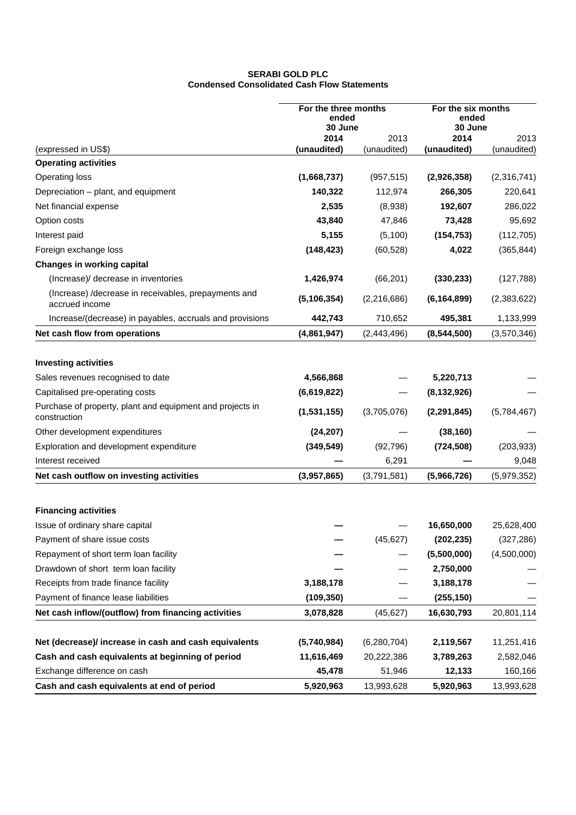# **SERABI GOLD PLC Condensed Consolidated Cash Flow Statements**

| For the three months<br>ended<br>30 June                                  |               |               | For the six months<br>ended<br>30 June |             |
|---------------------------------------------------------------------------|---------------|---------------|----------------------------------------|-------------|
|                                                                           | 2014          | 2013          | 2014                                   | 2013        |
| (expressed in US\$)                                                       | (unaudited)   | (unaudited)   | (unaudited)                            | (unaudited) |
| <b>Operating activities</b>                                               |               |               |                                        |             |
| <b>Operating loss</b>                                                     | (1,668,737)   | (957, 515)    | (2,926,358)                            | (2,316,741) |
| Depreciation - plant, and equipment                                       | 140,322       | 112,974       | 266,305                                | 220,641     |
| Net financial expense                                                     | 2,535         | (8,938)       | 192,607                                | 286,022     |
| Option costs                                                              | 43,840        | 47,846        | 73,428                                 | 95,692      |
| Interest paid                                                             | 5,155         | (5,100)       | (154, 753)                             | (112, 705)  |
| Foreign exchange loss                                                     | (148, 423)    | (60, 528)     | 4,022                                  | (365, 844)  |
| <b>Changes in working capital</b>                                         |               |               |                                        |             |
| (Increase)/ decrease in inventories                                       | 1,426,974     | (66, 201)     | (330, 233)                             | (127, 788)  |
| (Increase) /decrease in receivables, prepayments and<br>accrued income    | (5, 106, 354) | (2, 216, 686) | (6, 164, 899)                          | (2,383,622) |
| Increase/(decrease) in payables, accruals and provisions                  | 442,743       | 710,652       | 495,381                                | 1,133,999   |
| Net cash flow from operations                                             | (4,861,947)   | (2,443,496)   | (8,544,500)                            | (3,570,346) |
|                                                                           |               |               |                                        |             |
| <b>Investing activities</b>                                               |               |               |                                        |             |
| Sales revenues recognised to date                                         | 4,566,868     |               | 5,220,713                              |             |
| Capitalised pre-operating costs                                           | (6,619,822)   |               | (8, 132, 926)                          |             |
| Purchase of property, plant and equipment and projects in<br>construction | (1,531,155)   | (3,705,076)   | (2, 291, 845)                          | (5,784,467) |
| Other development expenditures                                            | (24, 207)     |               | (38, 160)                              |             |
| Exploration and development expenditure                                   | (349, 549)    | (92, 796)     | (724, 508)                             | (203, 933)  |
| Interest received                                                         |               | 6,291         |                                        | 9,048       |
| Net cash outflow on investing activities                                  | (3,957,865)   | (3,791,581)   | (5,966,726)                            | (5,979,352) |
| <b>Financing activities</b>                                               |               |               |                                        |             |
| Issue of ordinary share capital                                           |               |               | 16,650,000                             | 25,628,400  |
| Payment of share issue costs                                              |               | (45, 627)     | (202, 235)                             | (327, 286)  |
| Repayment of short term loan facility                                     |               |               | (5,500,000)                            | (4,500,000) |
| Drawdown of short term loan facility                                      |               |               | 2,750,000                              |             |
| Receipts from trade finance facility                                      | 3,188,178     |               | 3,188,178                              |             |
| Payment of finance lease liabilities                                      | (109, 350)    |               | (255, 150)                             |             |
| Net cash inflow/(outflow) from financing activities                       | 3,078,828     | (45, 627)     | 16,630,793                             | 20,801,114  |
|                                                                           |               |               |                                        |             |
| Net (decrease)/ increase in cash and cash equivalents                     | (5,740,984)   | (6, 280, 704) | 2,119,567                              | 11,251,416  |
| Cash and cash equivalents at beginning of period                          | 11,616,469    | 20,222,386    | 3,789,263                              | 2,582,046   |
| Exchange difference on cash                                               | 45,478        | 51,946        | 12,133                                 | 160,166     |
| Cash and cash equivalents at end of period                                | 5,920,963     | 13,993,628    | 5,920,963                              | 13,993,628  |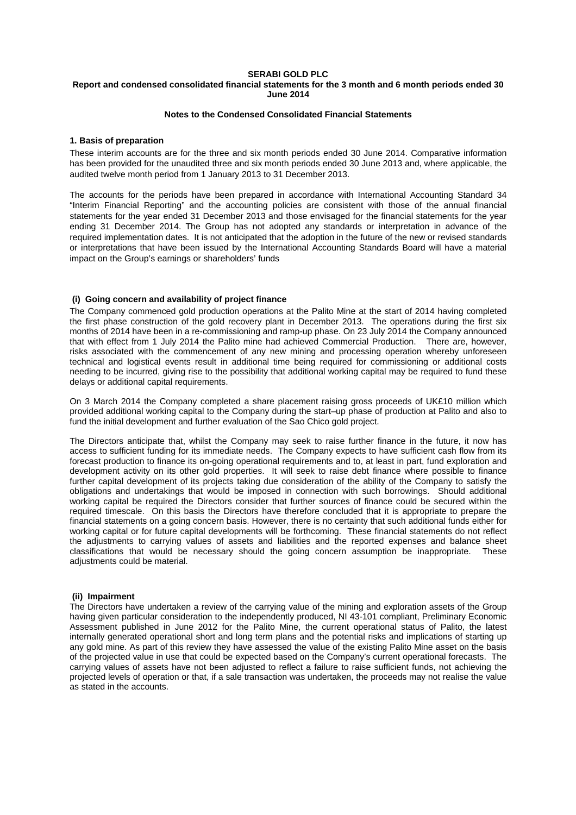### **SERABI GOLD PLC**

### **Report and condensed consolidated financial statements for the 3 month and 6 month periods ended 30 June 2014**

# **Notes to the Condensed Consolidated Financial Statements**

### **1. Basis of preparation**

These interim accounts are for the three and six month periods ended 30 June 2014. Comparative information has been provided for the unaudited three and six month periods ended 30 June 2013 and, where applicable, the audited twelve month period from 1 January 2013 to 31 December 2013.

The accounts for the periods have been prepared in accordance with International Accounting Standard 34 "Interim Financial Reporting" and the accounting policies are consistent with those of the annual financial statements for the year ended 31 December 2013 and those envisaged for the financial statements for the year ending 31 December 2014. The Group has not adopted any standards or interpretation in advance of the required implementation dates. It is not anticipated that the adoption in the future of the new or revised standards or interpretations that have been issued by the International Accounting Standards Board will have a material impact on the Group's earnings or shareholders' funds

### **(i) Going concern and availability of project finance**

The Company commenced gold production operations at the Palito Mine at the start of 2014 having completed the first phase construction of the gold recovery plant in December 2013. The operations during the first six months of 2014 have been in a re-commissioning and ramp-up phase. On 23 July 2014 the Company announced that with effect from 1 July 2014 the Palito mine had achieved Commercial Production. There are, however, risks associated with the commencement of any new mining and processing operation whereby unforeseen technical and logistical events result in additional time being required for commissioning or additional costs needing to be incurred, giving rise to the possibility that additional working capital may be required to fund these delays or additional capital requirements.

On 3 March 2014 the Company completed a share placement raising gross proceeds of UK£10 million which provided additional working capital to the Company during the start–up phase of production at Palito and also to fund the initial development and further evaluation of the Sao Chico gold project.

The Directors anticipate that, whilst the Company may seek to raise further finance in the future, it now has access to sufficient funding for its immediate needs. The Company expects to have sufficient cash flow from its forecast production to finance its on-going operational requirements and to, at least in part, fund exploration and development activity on its other gold properties. It will seek to raise debt finance where possible to finance further capital development of its projects taking due consideration of the ability of the Company to satisfy the obligations and undertakings that would be imposed in connection with such borrowings. Should additional working capital be required the Directors consider that further sources of finance could be secured within the required timescale. On this basis the Directors have therefore concluded that it is appropriate to prepare the financial statements on a going concern basis. However, there is no certainty that such additional funds either for working capital or for future capital developments will be forthcoming. These financial statements do not reflect the adjustments to carrying values of assets and liabilities and the reported expenses and balance sheet classifications that would be necessary should the going concern assumption be inappropriate. These adjustments could be material.

### **(ii) Impairment**

The Directors have undertaken a review of the carrying value of the mining and exploration assets of the Group having given particular consideration to the independently produced, NI 43-101 compliant, Preliminary Economic Assessment published in June 2012 for the Palito Mine, the current operational status of Palito, the latest internally generated operational short and long term plans and the potential risks and implications of starting up any gold mine. As part of this review they have assessed the value of the existing Palito Mine asset on the basis of the projected value in use that could be expected based on the Company's current operational forecasts. The carrying values of assets have not been adjusted to reflect a failure to raise sufficient funds, not achieving the projected levels of operation or that, if a sale transaction was undertaken, the proceeds may not realise the value as stated in the accounts.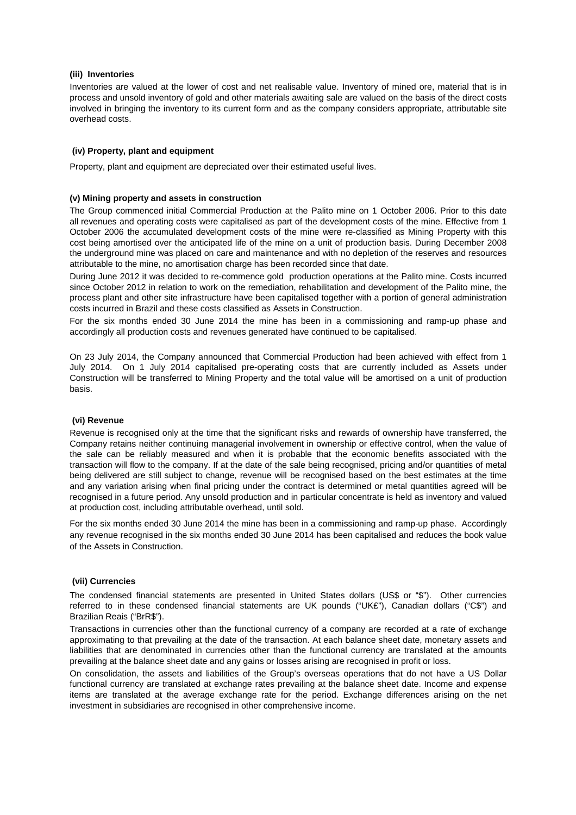### **(iii) Inventories**

Inventories are valued at the lower of cost and net realisable value. Inventory of mined ore, material that is in process and unsold inventory of gold and other materials awaiting sale are valued on the basis of the direct costs involved in bringing the inventory to its current form and as the company considers appropriate, attributable site overhead costs.

# **(iv) Property, plant and equipment**

Property, plant and equipment are depreciated over their estimated useful lives.

### **(v) Mining property and assets in construction**

The Group commenced initial Commercial Production at the Palito mine on 1 October 2006. Prior to this date all revenues and operating costs were capitalised as part of the development costs of the mine. Effective from 1 October 2006 the accumulated development costs of the mine were re-classified as Mining Property with this cost being amortised over the anticipated life of the mine on a unit of production basis. During December 2008 the underground mine was placed on care and maintenance and with no depletion of the reserves and resources attributable to the mine, no amortisation charge has been recorded since that date.

During June 2012 it was decided to re-commence gold production operations at the Palito mine. Costs incurred since October 2012 in relation to work on the remediation, rehabilitation and development of the Palito mine, the process plant and other site infrastructure have been capitalised together with a portion of general administration costs incurred in Brazil and these costs classified as Assets in Construction.

For the six months ended 30 June 2014 the mine has been in a commissioning and ramp-up phase and accordingly all production costs and revenues generated have continued to be capitalised.

On 23 July 2014, the Company announced that Commercial Production had been achieved with effect from 1 July 2014. On 1 July 2014 capitalised pre-operating costs that are currently included as Assets under Construction will be transferred to Mining Property and the total value will be amortised on a unit of production basis.

### **(vi) Revenue**

Revenue is recognised only at the time that the significant risks and rewards of ownership have transferred, the Company retains neither continuing managerial involvement in ownership or effective control, when the value of the sale can be reliably measured and when it is probable that the economic benefits associated with the transaction will flow to the company. If at the date of the sale being recognised, pricing and/or quantities of metal being delivered are still subject to change, revenue will be recognised based on the best estimates at the time and any variation arising when final pricing under the contract is determined or metal quantities agreed will be recognised in a future period. Any unsold production and in particular concentrate is held as inventory and valued at production cost, including attributable overhead, until sold.

For the six months ended 30 June 2014 the mine has been in a commissioning and ramp-up phase. Accordingly any revenue recognised in the six months ended 30 June 2014 has been capitalised and reduces the book value of the Assets in Construction.

### **(vii) Currencies**

The condensed financial statements are presented in United States dollars (US\$ or "\$"). Other currencies referred to in these condensed financial statements are UK pounds ("UK£"), Canadian dollars ("C\$") and Brazilian Reais ("BrR\$").

Transactions in currencies other than the functional currency of a company are recorded at a rate of exchange approximating to that prevailing at the date of the transaction. At each balance sheet date, monetary assets and liabilities that are denominated in currencies other than the functional currency are translated at the amounts prevailing at the balance sheet date and any gains or losses arising are recognised in profit or loss.

On consolidation, the assets and liabilities of the Group's overseas operations that do not have a US Dollar functional currency are translated at exchange rates prevailing at the balance sheet date. Income and expense items are translated at the average exchange rate for the period. Exchange differences arising on the net investment in subsidiaries are recognised in other comprehensive income.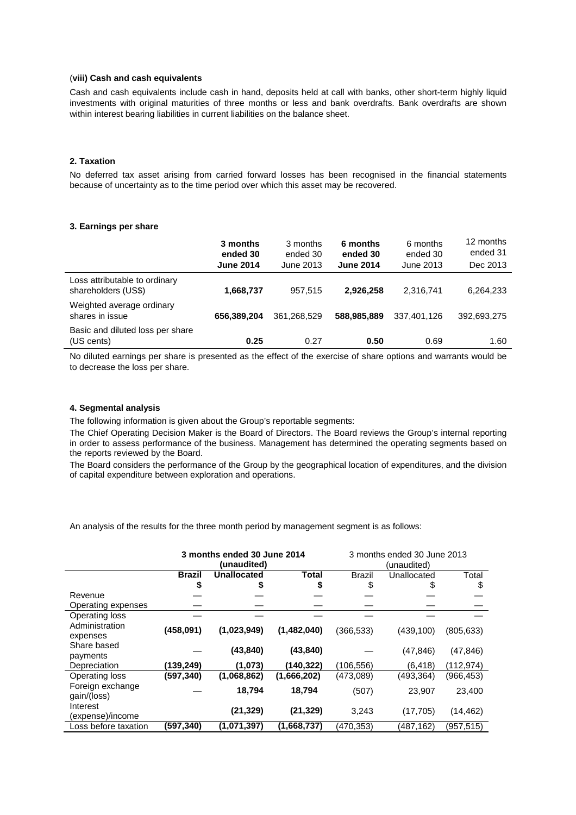### (**viii) Cash and cash equivalents**

Cash and cash equivalents include cash in hand, deposits held at call with banks, other short-term highly liquid investments with original maturities of three months or less and bank overdrafts. Bank overdrafts are shown within interest bearing liabilities in current liabilities on the balance sheet.

# **2. Taxation**

No deferred tax asset arising from carried forward losses has been recognised in the financial statements because of uncertainty as to the time period over which this asset may be recovered.

#### **3. Earnings per share**

|                                                      | 3 months<br>ended 30<br><b>June 2014</b> | 3 months<br>ended 30<br>June 2013 | 6 months<br>ended 30<br><b>June 2014</b> | 6 months<br>ended 30<br>June 2013 | 12 months<br>ended 31<br>Dec 2013 |
|------------------------------------------------------|------------------------------------------|-----------------------------------|------------------------------------------|-----------------------------------|-----------------------------------|
| Loss attributable to ordinary<br>shareholders (US\$) | 1,668,737                                | 957.515                           | 2.926.258                                | 2.316.741                         | 6,264,233                         |
| Weighted average ordinary<br>shares in issue         | 656.389.204                              | 361.268.529                       | 588,985,889                              | 337.401.126                       | 392,693,275                       |
| Basic and diluted loss per share<br>(US cents)       | 0.25                                     | 0.27                              | 0.50                                     | 0.69                              | 1.60                              |

No diluted earnings per share is presented as the effect of the exercise of share options and warrants would be to decrease the loss per share.

# **4. Segmental analysis**

The following information is given about the Group's reportable segments:

The Chief Operating Decision Maker is the Board of Directors. The Board reviews the Group's internal reporting in order to assess performance of the business. Management has determined the operating segments based on the reports reviewed by the Board.

The Board considers the performance of the Group by the geographical location of expenditures, and the division of capital expenditure between exploration and operations.

An analysis of the results for the three month period by management segment is as follows:

|                      | 3 months ended 30 June 2014<br>(unaudited) |                    |             | 3 months ended 30 June 2013<br>(unaudited) |             |            |
|----------------------|--------------------------------------------|--------------------|-------------|--------------------------------------------|-------------|------------|
|                      | Brazil                                     | <b>Unallocated</b> | Total       | <b>Brazil</b>                              | Unallocated | Total      |
|                      |                                            |                    |             |                                            |             | \$         |
| Revenue              |                                            |                    |             |                                            |             |            |
| Operating expenses   |                                            |                    |             |                                            |             |            |
| Operating loss       |                                            |                    |             |                                            |             |            |
| Administration       | (458,091)                                  | (1,023,949)        | (1,482,040) | (366, 533)                                 | (439, 100)  | (805, 633) |
| expenses             |                                            |                    |             |                                            |             |            |
| Share based          |                                            | (43, 840)          | (43, 840)   |                                            | (47, 846)   | (47, 846)  |
| payments             |                                            |                    |             |                                            |             |            |
| Depreciation         | (139,249)                                  | (1,073)            | (140, 322)  | (106,556)                                  | (6, 418)    | (112,974)  |
| Operating loss       | (597,340)                                  | (1,068,862)        | (1,666,202) | (473,089)                                  | (493, 364)  | (966, 453) |
| Foreign exchange     |                                            | 18,794             | 18,794      | (507)                                      | 23,907      | 23,400     |
| gain/(loss)          |                                            |                    |             |                                            |             |            |
| Interest             |                                            | (21, 329)          | (21, 329)   | 3,243                                      | (17, 705)   | (14, 462)  |
| (expense)/income     |                                            |                    |             |                                            |             |            |
| Loss before taxation | (597,340)                                  | (1,071,397)        | (1,668,737) | (470,353)                                  | (487,162)   | (957,515)  |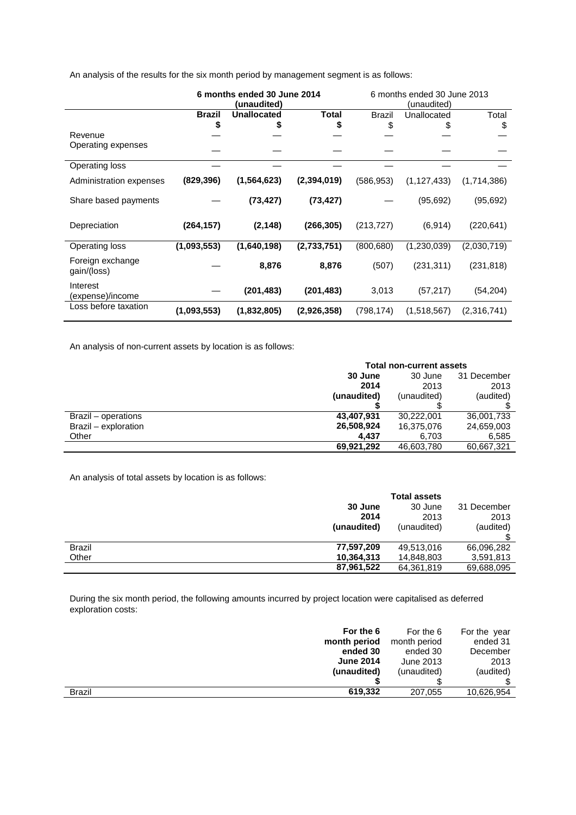An analysis of the results for the six month period by management segment is as follows:

|                                 | 6 months ended 30 June 2014<br>(unaudited) |                    |               | 6 months ended 30 June 2013<br>(unaudited) |               |             |
|---------------------------------|--------------------------------------------|--------------------|---------------|--------------------------------------------|---------------|-------------|
|                                 | <b>Brazil</b>                              | <b>Unallocated</b> | Total         | <b>Brazil</b>                              | Unallocated   | Total       |
| Revenue                         | \$                                         |                    | \$            | \$                                         | \$            | \$          |
| Operating expenses              |                                            |                    |               |                                            |               |             |
| Operating loss                  |                                            |                    |               |                                            |               |             |
| Administration expenses         | (829, 396)                                 | (1, 564, 623)      | (2, 394, 019) | (586, 953)                                 | (1, 127, 433) | (1,714,386) |
| Share based payments            |                                            | (73, 427)          | (73, 427)     |                                            | (95, 692)     | (95, 692)   |
| Depreciation                    | (264, 157)                                 | (2, 148)           | (266, 305)    | (213, 727)                                 | (6, 914)      | (220, 641)  |
| Operating loss                  | (1,093,553)                                | (1,640,198)        | (2,733,751)   | (800, 680)                                 | (1,230,039)   | (2,030,719) |
| Foreign exchange<br>gain/(loss) |                                            | 8,876              | 8,876         | (507)                                      | (231, 311)    | (231, 818)  |
| Interest<br>(expense)/income    |                                            | (201, 483)         | (201, 483)    | 3,013                                      | (57, 217)     | (54, 204)   |
| Loss before taxation            | (1,093,553)                                | (1,832,805)        | (2,926,358)   | (798, 174)                                 | (1,518,567)   | (2,316,741) |

An analysis of non-current assets by location is as follows:

|                      | <b>Total non-current assets</b> |             |             |  |
|----------------------|---------------------------------|-------------|-------------|--|
|                      | 30 June                         | 30 June     | 31 December |  |
|                      | 2014                            | 2013        | 2013        |  |
|                      | (unaudited)                     | (unaudited) | (audited)   |  |
|                      |                                 |             |             |  |
| Brazil – operations  | 43,407,931                      | 30.222.001  | 36,001,733  |  |
| Brazil - exploration | 26,508,924                      | 16,375,076  | 24,659,003  |  |
| Other                | 4.437                           | 6,703       | 6,585       |  |
|                      | 69,921,292                      | 46,603,780  | 60,667,321  |  |

An analysis of total assets by location is as follows:

|        |             | <b>Total assets</b> |             |
|--------|-------------|---------------------|-------------|
|        | 30 June     | 30 June             | 31 December |
|        | 2014        | 2013                | 2013        |
|        | (unaudited) | (unaudited)         | (audited)   |
|        |             |                     |             |
| Brazil | 77,597,209  | 49,513,016          | 66,096,282  |
| Other  | 10,364,313  | 14,848,803          | 3,591,813   |
|        | 87,961,522  | 64,361,819          | 69,688,095  |
|        |             |                     |             |

During the six month period, the following amounts incurred by project location were capitalised as deferred exploration costs:

| For the 6                | For the 6    | For the year |
|--------------------------|--------------|--------------|
| month period             | month period | ended 31     |
| ended 30                 | ended 30     | December     |
| <b>June 2014</b>         | June 2013    | 2013         |
| (unaudited)              | (unaudited)  | (audited)    |
|                          |              |              |
| <b>Brazil</b><br>619.332 | 207,055      | 10,626,954   |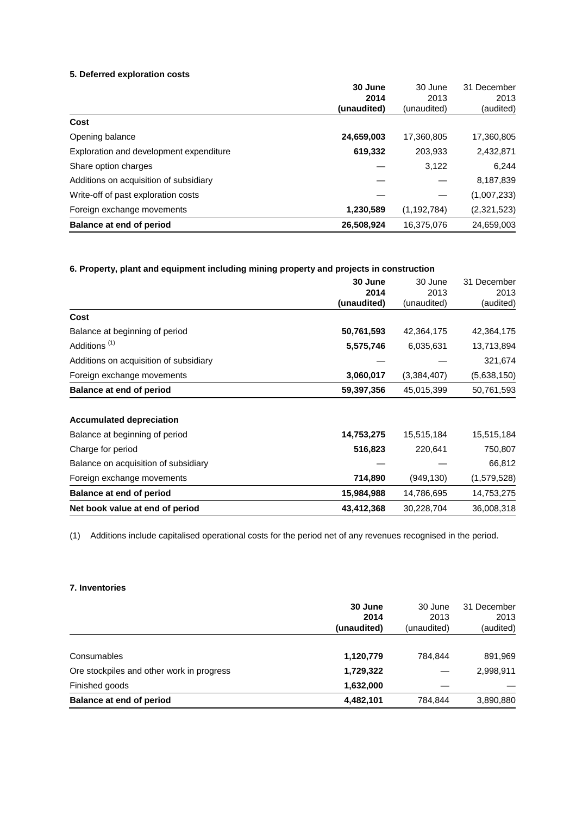# **5. Deferred exploration costs**

| 30 June     | 30 June       | 31 December |
|-------------|---------------|-------------|
| 2014        | 2013          | 2013        |
| (unaudited) | (unaudited)   | (audited)   |
|             |               |             |
| 24,659,003  | 17,360,805    | 17,360,805  |
| 619,332     | 203,933       | 2,432,871   |
|             | 3,122         | 6,244       |
|             |               | 8,187,839   |
|             |               | (1,007,233) |
| 1,230,589   | (1, 192, 784) | (2,321,523) |
| 26,508,924  | 16,375,076    | 24,659,003  |
|             |               |             |

# **6. Property, plant and equipment including mining property and projects in construction**

|                                        | 30 June     | 30 June     | 31 December |
|----------------------------------------|-------------|-------------|-------------|
|                                        | 2014        | 2013        | 2013        |
|                                        | (unaudited) | (unaudited) | (audited)   |
| Cost                                   |             |             |             |
| Balance at beginning of period         | 50,761,593  | 42,364,175  | 42,364,175  |
| Additions <sup>(1)</sup>               | 5,575,746   | 6,035,631   | 13,713,894  |
| Additions on acquisition of subsidiary |             |             | 321,674     |
| Foreign exchange movements             | 3,060,017   | (3,384,407) | (5,638,150) |
| <b>Balance at end of period</b>        | 59,397,356  | 45,015,399  | 50,761,593  |
| <b>Accumulated depreciation</b>        |             |             |             |
| Balance at beginning of period         | 14,753,275  | 15,515,184  | 15,515,184  |
| Charge for period                      | 516,823     | 220,641     | 750,807     |
| Balance on acquisition of subsidiary   |             |             | 66,812      |
| Foreign exchange movements             | 714,890     | (949, 130)  | (1,579,528) |
| <b>Balance at end of period</b>        | 15,984,988  | 14,786,695  | 14,753,275  |
| Net book value at end of period        | 43,412,368  | 30,228,704  | 36,008,318  |

(1) Additions include capitalised operational costs for the period net of any revenues recognised in the period.

# **7. Inventories**

|                                           | 30 June<br>2014<br>(unaudited) | 30 June<br>2013<br>(unaudited) | 31 December<br>2013<br>(audited) |
|-------------------------------------------|--------------------------------|--------------------------------|----------------------------------|
|                                           |                                |                                |                                  |
| Consumables                               | 1,120,779                      | 784.844                        | 891,969                          |
| Ore stockpiles and other work in progress | 1,729,322                      |                                | 2,998,911                        |
| Finished goods                            | 1,632,000                      |                                |                                  |
| Balance at end of period                  | 4,482,101                      | 784,844                        | 3,890,880                        |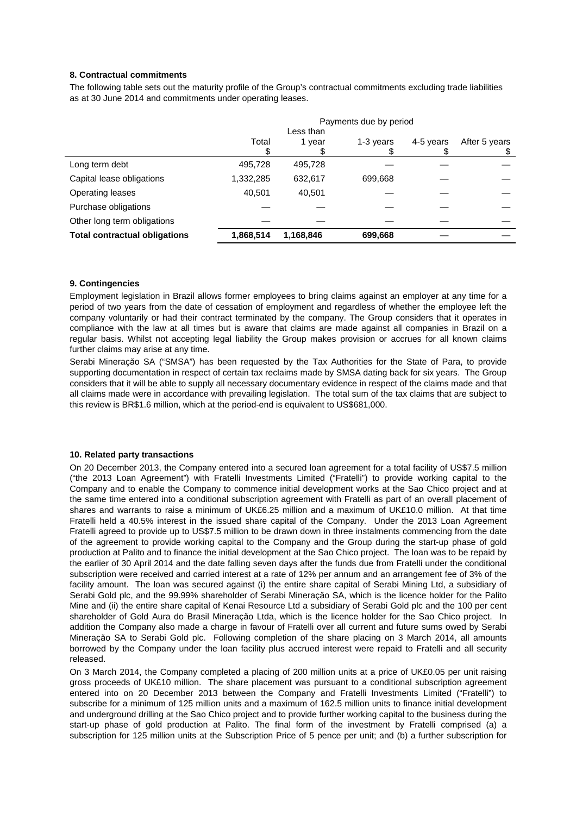# **8. Contractual commitments**

The following table sets out the maturity profile of the Group's contractual commitments excluding trade liabilities as at 30 June 2014 and commitments under operating leases.

|                                      | Payments due by period |           |           |           |               |
|--------------------------------------|------------------------|-----------|-----------|-----------|---------------|
|                                      |                        | Less than |           |           |               |
|                                      | Total                  | 1 year    | 1-3 years | 4-5 years | After 5 years |
|                                      |                        |           |           |           | \$            |
| Long term debt                       | 495,728                | 495,728   |           |           |               |
| Capital lease obligations            | 1,332,285              | 632,617   | 699,668   |           |               |
| Operating leases                     | 40,501                 | 40.501    |           |           |               |
| Purchase obligations                 |                        |           |           |           |               |
| Other long term obligations          |                        |           |           |           |               |
| <b>Total contractual obligations</b> | 1,868,514              | 1,168,846 | 699,668   |           |               |

# **9. Contingencies**

Employment legislation in Brazil allows former employees to bring claims against an employer at any time for a period of two years from the date of cessation of employment and regardless of whether the employee left the company voluntarily or had their contract terminated by the company. The Group considers that it operates in compliance with the law at all times but is aware that claims are made against all companies in Brazil on a regular basis. Whilst not accepting legal liability the Group makes provision or accrues for all known claims further claims may arise at any time.

Serabi Mineraçăo SA ("SMSA") has been requested by the Tax Authorities for the State of Para, to provide supporting documentation in respect of certain tax reclaims made by SMSA dating back for six years. The Group considers that it will be able to supply all necessary documentary evidence in respect of the claims made and that all claims made were in accordance with prevailing legislation. The total sum of the tax claims that are subject to this review is BR\$1.6 million, which at the period-end is equivalent to US\$681,000.

### **10. Related party transactions**

On 20 December 2013, the Company entered into a secured loan agreement for a total facility of US\$7.5 million ("the 2013 Loan Agreement") with Fratelli Investments Limited ("Fratelli") to provide working capital to the Company and to enable the Company to commence initial development works at the Sao Chico project and at the same time entered into a conditional subscription agreement with Fratelli as part of an overall placement of shares and warrants to raise a minimum of UK£6.25 million and a maximum of UK£10.0 million. At that time Fratelli held a 40.5% interest in the issued share capital of the Company. Under the 2013 Loan Agreement Fratelli agreed to provide up to US\$7.5 million to be drawn down in three instalments commencing from the date of the agreement to provide working capital to the Company and the Group during the start-up phase of gold production at Palito and to finance the initial development at the Sao Chico project. The loan was to be repaid by the earlier of 30 April 2014 and the date falling seven days after the funds due from Fratelli under the conditional subscription were received and carried interest at a rate of 12% per annum and an arrangement fee of 3% of the facility amount. The loan was secured against (i) the entire share capital of Serabi Mining Ltd, a subsidiary of Serabi Gold plc, and the 99.99% shareholder of Serabi Mineraçăo SA, which is the licence holder for the Palito Mine and (ii) the entire share capital of Kenai Resource Ltd a subsidiary of Serabi Gold plc and the 100 per cent shareholder of Gold Aura do Brasil Mineraçăo Ltda, which is the licence holder for the Sao Chico project. In addition the Company also made a charge in favour of Fratelli over all current and future sums owed by Serabi Mineraçăo SA to Serabi Gold plc. Following completion of the share placing on 3 March 2014, all amounts borrowed by the Company under the loan facility plus accrued interest were repaid to Fratelli and all security released.

On 3 March 2014, the Company completed a placing of 200 million units at a price of UK£0.05 per unit raising gross proceeds of UK£10 million. The share placement was pursuant to a conditional subscription agreement entered into on 20 December 2013 between the Company and Fratelli Investments Limited ("Fratelli") to subscribe for a minimum of 125 million units and a maximum of 162.5 million units to finance initial development and underground drilling at the Sao Chico project and to provide further working capital to the business during the start-up phase of gold production at Palito. The final form of the investment by Fratelli comprised (a) a subscription for 125 million units at the Subscription Price of 5 pence per unit; and (b) a further subscription for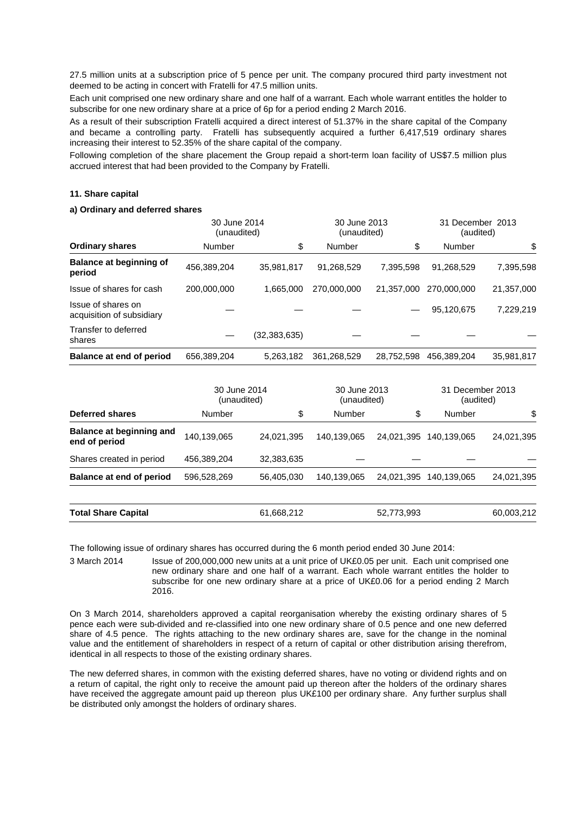27.5 million units at a subscription price of 5 pence per unit. The company procured third party investment not deemed to be acting in concert with Fratelli for 47.5 million units.

Each unit comprised one new ordinary share and one half of a warrant. Each whole warrant entitles the holder to subscribe for one new ordinary share at a price of 6p for a period ending 2 March 2016.

As a result of their subscription Fratelli acquired a direct interest of 51.37% in the share capital of the Company and became a controlling party. Fratelli has subsequently acquired a further 6,417,519 ordinary shares increasing their interest to 52.35% of the share capital of the company.

Following completion of the share placement the Group repaid a short-term loan facility of US\$7.5 million plus accrued interest that had been provided to the Company by Fratelli.

### **11. Share capital**

### **a) Ordinary and deferred shares**

|                                                 | 30 June 2014<br>(unaudited) |              | 30 June 2013<br>(unaudited) |            | 31 December 2013<br>(audited) |            |
|-------------------------------------------------|-----------------------------|--------------|-----------------------------|------------|-------------------------------|------------|
| <b>Ordinary shares</b>                          | Number                      | \$           | Number                      | \$         | <b>Number</b>                 | \$         |
| <b>Balance at beginning of</b><br>period        | 456,389,204                 | 35,981,817   | 91,268,529                  | 7.395.598  | 91,268,529                    | 7,395,598  |
| Issue of shares for cash                        | 200,000,000                 | 1.665.000    | 270,000,000                 | 21,357,000 | 270,000,000                   | 21,357,000 |
| Issue of shares on<br>acquisition of subsidiary |                             |              |                             |            | 95.120.675                    | 7,229,219  |
| Transfer to deferred<br>shares                  |                             | (32,383,635) |                             |            |                               |            |
| Balance at end of period                        | 656,389,204                 | 5,263,182    | 361,268,529                 | 28.752.598 | 456,389,204                   | 35,981,817 |

|                                           | 30 June 2014<br>(unaudited) |            | 30 June 2013<br>(unaudited) |            | 31 December 2013<br>(audited) |            |
|-------------------------------------------|-----------------------------|------------|-----------------------------|------------|-------------------------------|------------|
| <b>Deferred shares</b>                    | Number                      | \$         | Number                      | \$         | Number                        | \$         |
| Balance at beginning and<br>end of period | 140,139,065                 | 24,021,395 | 140,139,065                 | 24,021,395 | 140.139.065                   | 24,021,395 |
| Shares created in period                  | 456,389,204                 | 32,383,635 |                             |            |                               |            |
| Balance at end of period                  | 596,528,269                 | 56,405,030 | 140.139.065                 | 24.021.395 | 140.139.065                   | 24,021,395 |
| <b>Total Share Capital</b>                |                             | 61,668,212 |                             | 52,773,993 |                               | 60,003,212 |

The following issue of ordinary shares has occurred during the 6 month period ended 30 June 2014:

3 March 2014 Issue of 200,000,000 new units at a unit price of UK£0.05 per unit. Each unit comprised one new ordinary share and one half of a warrant. Each whole warrant entitles the holder to subscribe for one new ordinary share at a price of UK£0.06 for a period ending 2 March 2016.

On 3 March 2014, shareholders approved a capital reorganisation whereby the existing ordinary shares of 5 pence each were sub-divided and re-classified into one new ordinary share of 0.5 pence and one new deferred share of 4.5 pence. The rights attaching to the new ordinary shares are, save for the change in the nominal value and the entitlement of shareholders in respect of a return of capital or other distribution arising therefrom, identical in all respects to those of the existing ordinary shares.

The new deferred shares, in common with the existing deferred shares, have no voting or dividend rights and on a return of capital, the right only to receive the amount paid up thereon after the holders of the ordinary shares have received the aggregate amount paid up thereon plus UK£100 per ordinary share. Any further surplus shall be distributed only amongst the holders of ordinary shares.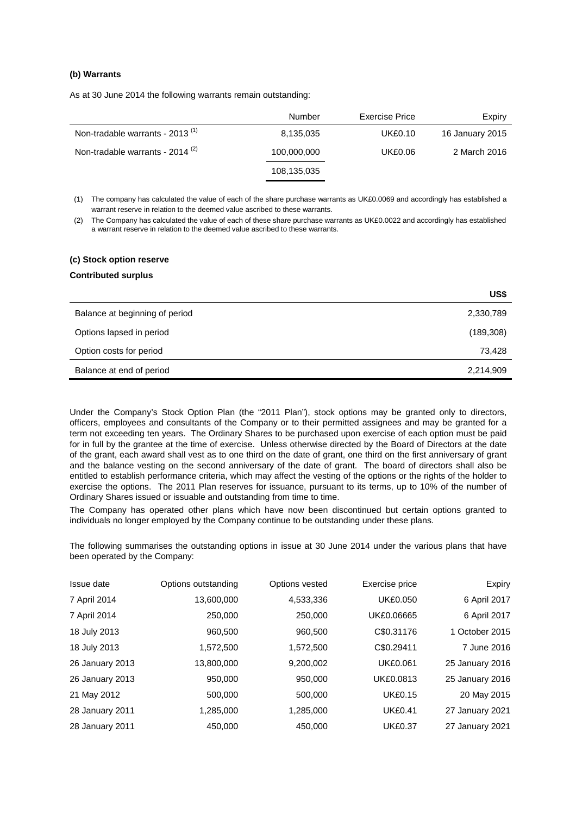# **(b) Warrants**

As at 30 June 2014 the following warrants remain outstanding:

|                                             | Number      | Exercise Price | Expiry          |
|---------------------------------------------|-------------|----------------|-----------------|
| Non-tradable warrants - 2013 <sup>(1)</sup> | 8,135,035   | <b>UK£0.10</b> | 16 January 2015 |
| Non-tradable warrants - $2014^{(2)}$        | 100,000,000 | UK£0.06        | 2 March 2016    |
|                                             | 108,135,035 |                |                 |

(1) The company has calculated the value of each of the share purchase warrants as UK£0.0069 and accordingly has established a warrant reserve in relation to the deemed value ascribed to these warrants.

(2) The Company has calculated the value of each of these share purchase warrants as UK£0.0022 and accordingly has established a warrant reserve in relation to the deemed value ascribed to these warrants.

# **(c) Stock option reserve**

### **Contributed surplus**

|                                | US\$       |
|--------------------------------|------------|
| Balance at beginning of period | 2,330,789  |
| Options lapsed in period       | (189, 308) |
| Option costs for period        | 73,428     |
| Balance at end of period       | 2,214,909  |

Under the Company's Stock Option Plan (the "2011 Plan"), stock options may be granted only to directors, officers, employees and consultants of the Company or to their permitted assignees and may be granted for a term not exceeding ten years. The Ordinary Shares to be purchased upon exercise of each option must be paid for in full by the grantee at the time of exercise. Unless otherwise directed by the Board of Directors at the date of the grant, each award shall vest as to one third on the date of grant, one third on the first anniversary of grant and the balance vesting on the second anniversary of the date of grant. The board of directors shall also be entitled to establish performance criteria, which may affect the vesting of the options or the rights of the holder to exercise the options. The 2011 Plan reserves for issuance, pursuant to its terms, up to 10% of the number of Ordinary Shares issued or issuable and outstanding from time to time.

The Company has operated other plans which have now been discontinued but certain options granted to individuals no longer employed by the Company continue to be outstanding under these plans.

The following summarises the outstanding options in issue at 30 June 2014 under the various plans that have been operated by the Company:

| Issue date      | Options outstanding | Options vested | Exercise price  | Expiry          |
|-----------------|---------------------|----------------|-----------------|-----------------|
| 7 April 2014    | 13,600,000          | 4,533,336      | <b>UK£0.050</b> | 6 April 2017    |
| 7 April 2014    | 250,000             | 250,000        | UK£0.06665      | 6 April 2017    |
| 18 July 2013    | 960,500             | 960,500        | C\$0.31176      | 1 October 2015  |
| 18 July 2013    | 1,572,500           | 1,572,500      | C\$0.29411      | 7 June 2016     |
| 26 January 2013 | 13,800,000          | 9,200,002      | <b>UK£0.061</b> | 25 January 2016 |
| 26 January 2013 | 950,000             | 950,000        | UK£0.0813       | 25 January 2016 |
| 21 May 2012     | 500.000             | 500.000        | <b>UK£0.15</b>  | 20 May 2015     |
| 28 January 2011 | 1,285,000           | 1,285,000      | <b>UK£0.41</b>  | 27 January 2021 |
| 28 January 2011 | 450,000             | 450,000        | <b>UK£0.37</b>  | 27 January 2021 |